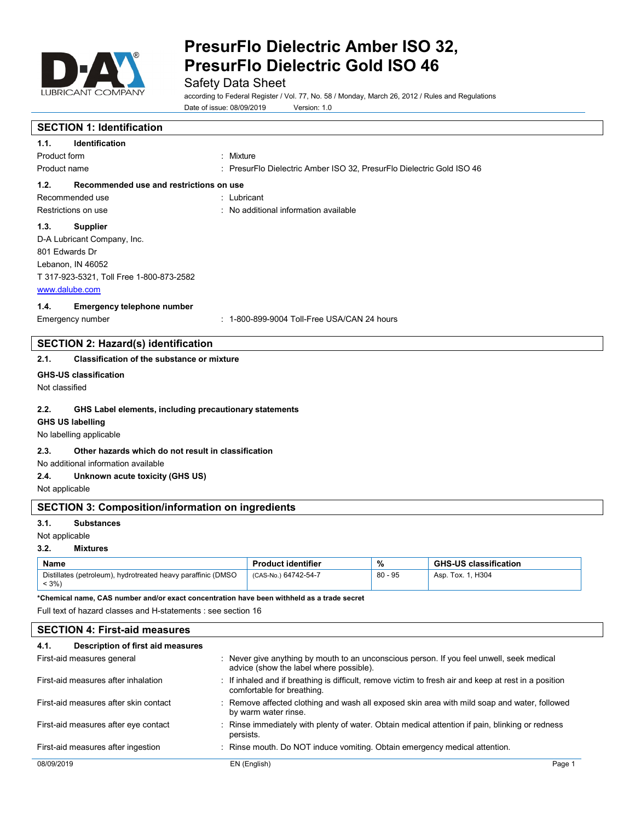

Safety Data Sheet

according to Federal Register / Vol. 77, No. 58 / Monday, March 26, 2012 / Rules and Regulations Date of issue: 08/09/2019 Version: 1.0

# **SECTION 1: Identification**

| 1.1.                | <b>Identification</b>                    |                                                                       |
|---------------------|------------------------------------------|-----------------------------------------------------------------------|
| Product form        |                                          | : Mixture                                                             |
| Product name        |                                          | : PresurFlo Dielectric Amber ISO 32, PresurFlo Dielectric Gold ISO 46 |
| 1.2.                | Recommended use and restrictions on use  |                                                                       |
|                     | Recommended use                          | $:$ Lubricant                                                         |
| Restrictions on use |                                          | : No additional information available                                 |
| 1.3.                | <b>Supplier</b>                          |                                                                       |
|                     | D-A Lubricant Company, Inc.              |                                                                       |
| 801 Edwards Dr      |                                          |                                                                       |
|                     | Lebanon, IN 46052                        |                                                                       |
|                     | T 317-923-5321, Toll Free 1-800-873-2582 |                                                                       |
| www.dalube.com      |                                          |                                                                       |

## **1.4. Emergency telephone number**

Emergency number <br> 1-800-899-9004 Toll-Free USA/CAN 24 hours

## **SECTION 2: Hazard(s) identification**

## **2.1. Classification of the substance or mixture**

## **GHS-US classification**

Not classified

## **2.2. GHS Label elements, including precautionary statements**

## **GHS US labelling**

No labelling applicable

### **2.3. Other hazards which do not result in classification**

No additional information available

## **2.4. Unknown acute toxicity (GHS US)**

Not applicable

## **SECTION 3: Composition/information on ingredients**

#### **3.1. Substances**

#### Not applicable

#### **3.2. Mixtures**

| Name                                                                  | <b>Product identifier</b> | $\mathbf{0}$ | <b>GHS-US classification</b> |
|-----------------------------------------------------------------------|---------------------------|--------------|------------------------------|
| Distillates (petroleum), hydrotreated heavy paraffinic (DMSO<br>$3\%$ | (CAS-No.) 64742-54-7      | $80 - 95$    | . H304<br>. Tox. 1.<br>Asp.  |

**\*Chemical name, CAS number and/or exact concentration have been withheld as a trade secret**

Full text of hazard classes and H-statements : see section 16

| <b>SECTION 4: First-aid measures</b>      |                                                                                                                                      |  |  |
|-------------------------------------------|--------------------------------------------------------------------------------------------------------------------------------------|--|--|
| Description of first aid measures<br>4.1. |                                                                                                                                      |  |  |
| First-aid measures general                | : Never give anything by mouth to an unconscious person. If you feel unwell, seek medical<br>advice (show the label where possible). |  |  |
| First-aid measures after inhalation       | : If inhaled and if breathing is difficult, remove victim to fresh air and keep at rest in a position<br>comfortable for breathing.  |  |  |
| First-aid measures after skin contact     | : Remove affected clothing and wash all exposed skin area with mild soap and water, followed<br>by warm water rinse.                 |  |  |
| First-aid measures after eye contact      | Rinse immediately with plenty of water. Obtain medical attention if pain, blinking or redness                                        |  |  |

## First-aid measures after ingestion : Rinse mouth. Do NOT induce vomiting. Obtain emergency medical attention.

persists.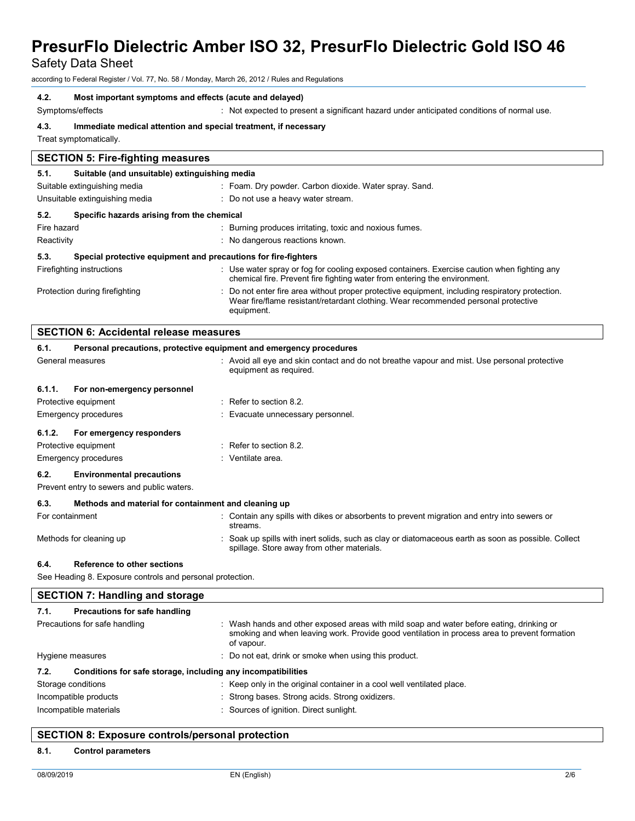Safety Data Sheet

according to Federal Register / Vol. 77, No. 58 / Monday, March 26, 2012 / Rules and Regulations

#### **4.2. Most important symptoms and effects (acute and delayed)**

Symptoms/effects : Not expected to present a significant hazard under anticipated conditions of normal use.

**4.3. Immediate medical attention and special treatment, if necessary**

Treat symptomatically.

## **SECTION 5: Fire-fighting measures 5.1. Suitable (and unsuitable) extinguishing media** Suitable extinguishing media : Foam. Dry powder. Carbon dioxide. Water spray. Sand. Unsuitable extinguishing media  $\qquad \qquad : \quad$  Do not use a heavy water stream. **5.2. Specific hazards arising from the chemical** Fire hazard **in the starting of the starting produces** irritating, toxic and noxious fumes. Reactivity **Example 20** Reactivity **Reactivity Reactivity Reactions** known. **5.3. Special protective equipment and precautions for fire-fighters** Firefighting instructions : Use water spray or fog for cooling exposed containers. Exercise caution when fighting any chemical fire. Prevent fire fighting water from entering the environment. Protection during firefighting  $\blacksquare$ : Do not enter fire area without proper protective equipment, including respiratory protection. Wear fire/flame resistant/retardant clothing. Wear recommended personal protective equipment.

|                             | <b>SECTION 6: Accidental release measures</b>                                  |                                                                                                                                                 |  |  |
|-----------------------------|--------------------------------------------------------------------------------|-------------------------------------------------------------------------------------------------------------------------------------------------|--|--|
| 6.1.                        | Personal precautions, protective equipment and emergency procedures            |                                                                                                                                                 |  |  |
| General measures            |                                                                                | : Avoid all eye and skin contact and do not breathe vapour and mist. Use personal protective<br>equipment as required.                          |  |  |
| 6.1.1.                      | For non-emergency personnel                                                    |                                                                                                                                                 |  |  |
| Protective equipment        |                                                                                | $\therefore$ Refer to section 8.2.                                                                                                              |  |  |
| <b>Emergency procedures</b> |                                                                                | : Evacuate unnecessary personnel.                                                                                                               |  |  |
| 6.1.2.                      | For emergency responders                                                       |                                                                                                                                                 |  |  |
| Protective equipment        |                                                                                | $\therefore$ Refer to section 8.2.                                                                                                              |  |  |
| Emergency procedures        |                                                                                | $:$ Ventilate area.                                                                                                                             |  |  |
| 6.2.                        | <b>Environmental precautions</b><br>Prevent entry to sewers and public waters. |                                                                                                                                                 |  |  |
| 6.3.                        | Methods and material for containment and cleaning up                           |                                                                                                                                                 |  |  |
| For containment             |                                                                                | : Contain any spills with dikes or absorbents to prevent migration and entry into sewers or<br>streams.                                         |  |  |
| Methods for cleaning up     |                                                                                | Soak up spills with inert solids, such as clay or diatomaceous earth as soon as possible. Collect<br>spillage. Store away from other materials. |  |  |

## **6.4. Reference to other sections**

See Heading 8. Exposure controls and personal protection.

| <b>SECTION 7: Handling and storage</b>                               |                                                                                                                                                                                                        |  |  |
|----------------------------------------------------------------------|--------------------------------------------------------------------------------------------------------------------------------------------------------------------------------------------------------|--|--|
| 7.1.<br>Precautions for safe handling                                |                                                                                                                                                                                                        |  |  |
| Precautions for safe handling                                        | : Wash hands and other exposed areas with mild soap and water before eating, drinking or<br>smoking and when leaving work. Provide good ventilation in process area to prevent formation<br>of vapour. |  |  |
| Hygiene measures                                                     | : Do not eat, drink or smoke when using this product.                                                                                                                                                  |  |  |
| Conditions for safe storage, including any incompatibilities<br>7.2. |                                                                                                                                                                                                        |  |  |
| Storage conditions                                                   | : Keep only in the original container in a cool well ventilated place.                                                                                                                                 |  |  |
| Incompatible products                                                | : Strong bases. Strong acids. Strong oxidizers.                                                                                                                                                        |  |  |
| Incompatible materials                                               | : Sources of ignition. Direct sunlight.                                                                                                                                                                |  |  |

## **SECTION 8: Exposure controls/personal protection**

#### **8.1. Control parameters**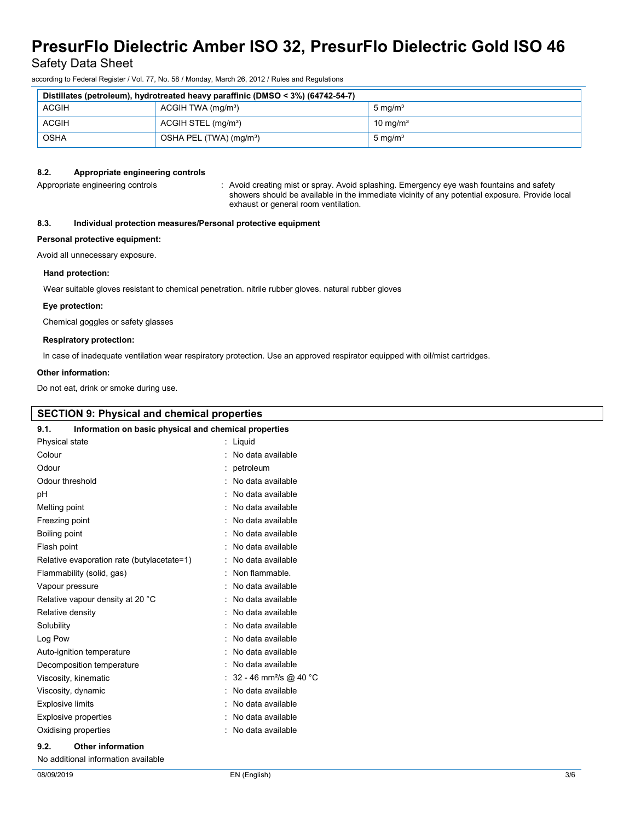Safety Data Sheet

according to Federal Register / Vol. 77, No. 58 / Monday, March 26, 2012 / Rules and Regulations

| Distillates (petroleum), hydrotreated heavy paraffinic (DMSO < 3%) (64742-54-7) |                                     |                      |
|---------------------------------------------------------------------------------|-------------------------------------|----------------------|
| <b>ACGIH</b>                                                                    | $ACGIH TWA$ (mg/m <sup>3</sup> )    | $5 \text{ mg/m}^3$   |
| <b>ACGIH</b>                                                                    | ACGIH STEL (mg/m <sup>3</sup> )     | 10 mg/m <sup>3</sup> |
| <b>OSHA</b>                                                                     | OSHA PEL (TWA) (mg/m <sup>3</sup> ) | $5 \text{ mg/m}^3$   |

### **8.2. Appropriate engineering controls**

Appropriate engineering controls **intercational canding** mist or spray. Avoid splashing. Emergency eye wash fountains and safety showers should be available in the immediate vicinity of any potential exposure. Provide local exhaust or general room ventilation.

## **8.3. Individual protection measures/Personal protective equipment**

#### **Personal protective equipment:**

Avoid all unnecessary exposure.

#### **Hand protection:**

Wear suitable gloves resistant to chemical penetration. nitrile rubber gloves. natural rubber gloves

#### **Eye protection:**

Chemical goggles or safety glasses

#### **Respiratory protection:**

In case of inadequate ventilation wear respiratory protection. Use an approved respirator equipped with oil/mist cartridges.

#### **Other information:**

Do not eat, drink or smoke during use.

| <b>SECTION 9: Physical and chemical properties</b>            |                                      |  |  |
|---------------------------------------------------------------|--------------------------------------|--|--|
| 9.1.<br>Information on basic physical and chemical properties |                                      |  |  |
| Physical state                                                | : Liquid                             |  |  |
| Colour                                                        | : No data available                  |  |  |
| Odour                                                         | : petroleum                          |  |  |
| Odour threshold                                               | : No data available                  |  |  |
| pH                                                            | : No data available                  |  |  |
| Melting point                                                 | : No data available                  |  |  |
| Freezing point                                                | : No data available                  |  |  |
| Boiling point                                                 | : No data available                  |  |  |
| Flash point                                                   | : No data available                  |  |  |
| Relative evaporation rate (butylacetate=1)                    | : No data available                  |  |  |
| Flammability (solid, gas)                                     | : Non flammable.                     |  |  |
| Vapour pressure                                               | : No data available                  |  |  |
| Relative vapour density at 20 °C                              | : No data available                  |  |  |
| Relative density                                              | : No data available                  |  |  |
| Solubility                                                    | : No data available                  |  |  |
| Log Pow                                                       | : No data available                  |  |  |
| Auto-ignition temperature                                     | : No data available                  |  |  |
| Decomposition temperature                                     | : No data available                  |  |  |
| Viscosity, kinematic                                          | : 32 - 46 mm <sup>2</sup> /s @ 40 °C |  |  |
| Viscosity, dynamic                                            | : No data available                  |  |  |
| Explosive limits                                              | . No data available                  |  |  |

#### : No data available : No data available

: No data available

### **9.2. Other information**

Explosive properties Oxidising properties

No additional information available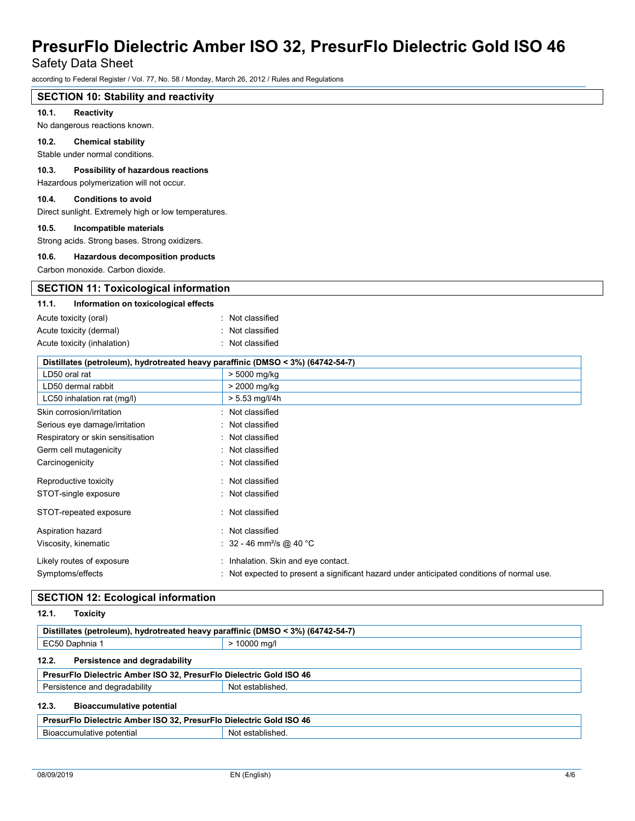Safety Data Sheet

according to Federal Register / Vol. 77, No. 58 / Monday, March 26, 2012 / Rules and Regulations

| <b>SECTION 10: Stability and reactivity</b>                                                    |                                                                                          |  |
|------------------------------------------------------------------------------------------------|------------------------------------------------------------------------------------------|--|
| 10.1.<br>Reactivity                                                                            |                                                                                          |  |
| No dangerous reactions known.                                                                  |                                                                                          |  |
| 10.2.<br><b>Chemical stability</b>                                                             |                                                                                          |  |
| Stable under normal conditions.                                                                |                                                                                          |  |
| 10.3.<br><b>Possibility of hazardous reactions</b><br>Hazardous polymerization will not occur. |                                                                                          |  |
| 10.4.<br><b>Conditions to avoid</b>                                                            |                                                                                          |  |
| Direct sunlight. Extremely high or low temperatures.                                           |                                                                                          |  |
| 10.5.<br>Incompatible materials<br>Strong acids. Strong bases. Strong oxidizers.               |                                                                                          |  |
| 10.6.<br>Hazardous decomposition products                                                      |                                                                                          |  |
| Carbon monoxide. Carbon dioxide.                                                               |                                                                                          |  |
| <b>SECTION 11: Toxicological information</b>                                                   |                                                                                          |  |
| 11.1.<br>Information on toxicological effects                                                  |                                                                                          |  |
| Acute toxicity (oral)                                                                          | : Not classified                                                                         |  |
| Acute toxicity (dermal)                                                                        | Not classified                                                                           |  |
| Acute toxicity (inhalation)                                                                    | : Not classified                                                                         |  |
|                                                                                                |                                                                                          |  |
|                                                                                                | Distillates (petroleum), hydrotreated heavy paraffinic (DMSO < 3%) (64742-54-7)          |  |
| LD50 oral rat<br>LD50 dermal rabbit                                                            | > 5000 mg/kg<br>> 2000 mg/kg                                                             |  |
| LC50 inhalation rat (mg/l)                                                                     | > 5.53 mg/l/4h                                                                           |  |
| Skin corrosion/irritation                                                                      | Not classified                                                                           |  |
| Serious eye damage/irritation                                                                  | Not classified                                                                           |  |
| Respiratory or skin sensitisation                                                              | Not classified                                                                           |  |
| Germ cell mutagenicity                                                                         | Not classified                                                                           |  |
| Carcinogenicity                                                                                | Not classified                                                                           |  |
|                                                                                                | : Not classified                                                                         |  |
| Reproductive toxicity<br>STOT-single exposure                                                  | : Not classified                                                                         |  |
|                                                                                                |                                                                                          |  |
| STOT-repeated exposure                                                                         | : Not classified                                                                         |  |
| Aspiration hazard                                                                              | : Not classified                                                                         |  |
| Viscosity, kinematic                                                                           | : $32 - 46$ mm <sup>2</sup> /s @ 40 °C                                                   |  |
| Likely routes of exposure                                                                      | : Inhalation. Skin and eye contact.                                                      |  |
| Symptoms/effects                                                                               | Not expected to present a significant hazard under anticipated conditions of normal use. |  |

## **SECTION 12: Ecological information**

| 12.1.<br>Toxicity                                                               |                  |  |  |
|---------------------------------------------------------------------------------|------------------|--|--|
| Distillates (petroleum), hydrotreated heavy paraffinic (DMSO < 3%) (64742-54-7) |                  |  |  |
| EC50 Daphnia 1                                                                  | > 10000 mg/l     |  |  |
| Persistence and degradability<br>12.2.                                          |                  |  |  |
| PresurFlo Dielectric Amber ISO 32, PresurFlo Dielectric Gold ISO 46             |                  |  |  |
| Persistence and degradability                                                   | Not established. |  |  |
| 12.3.<br><b>Bioaccumulative potential</b>                                       |                  |  |  |
| PresurFlo Dielectric Amber ISO 32, PresurFlo Dielectric Gold ISO 46             |                  |  |  |
| Bioaccumulative potential                                                       | Not established. |  |  |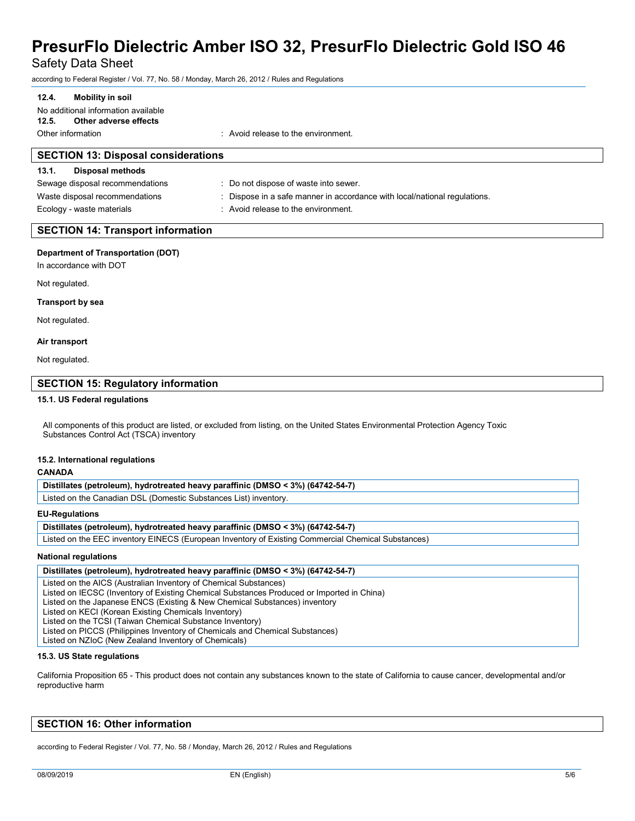Safety Data Sheet

according to Federal Register / Vol. 77, No. 58 / Monday, March 26, 2012 / Rules and Regulations

## **12.4. Mobility in soil**

No additional information available **12.5. Other adverse effects**

Other information : Avoid release to the environment.

| <b>SECTION 13: Disposal considerations</b> |                                                                           |  |  |
|--------------------------------------------|---------------------------------------------------------------------------|--|--|
| <b>Disposal methods</b><br>13.1.           |                                                                           |  |  |
| Sewage disposal recommendations            | : Do not dispose of waste into sewer.                                     |  |  |
| Waste disposal recommendations             | : Dispose in a safe manner in accordance with local/national regulations. |  |  |
| Ecology - waste materials                  | : Avoid release to the environment.                                       |  |  |
|                                            |                                                                           |  |  |

## **SECTION 14: Transport information**

### **Department of Transportation (DOT)**

In accordance with DOT

Not regulated.

#### **Transport by sea**

Not regulated.

#### **Air transport**

Not regulated.

## **SECTION 15: Regulatory information**

### **15.1. US Federal regulations**

All components of this product are listed, or excluded from listing, on the United States Environmental Protection Agency Toxic Substances Control Act (TSCA) inventory

#### **15.2. International regulations**

#### **CANADA**

Listed on the Canadian DSL (Domestic Substances List) inventory.

#### **EU-Regulations**

#### **Distillates (petroleum), hydrotreated heavy paraffinic (DMSO < 3%) (64742-54-7)**

Listed on the EEC inventory EINECS (European Inventory of Existing Commercial Chemical Substances)

### **National regulations**

#### **Distillates (petroleum), hydrotreated heavy paraffinic (DMSO < 3%) (64742-54-7)** Listed on the AICS (Australian Inventory of Chemical Substances) Listed on IECSC (Inventory of Existing Chemical Substances Produced or Imported in China) Listed on the Japanese ENCS (Existing & New Chemical Substances) inventory Listed on KECI (Korean Existing Chemicals Inventory) Listed on the TCSI (Taiwan Chemical Substance Inventory) Listed on PICCS (Philippines Inventory of Chemicals and Chemical Substances) Listed on NZIoC (New Zealand Inventory of Chemicals)

#### **15.3. US State regulations**

California Proposition 65 - This product does not contain any substances known to the state of California to cause cancer, developmental and/or reproductive harm

## **SECTION 16: Other information**

according to Federal Register / Vol. 77, No. 58 / Monday, March 26, 2012 / Rules and Regulations